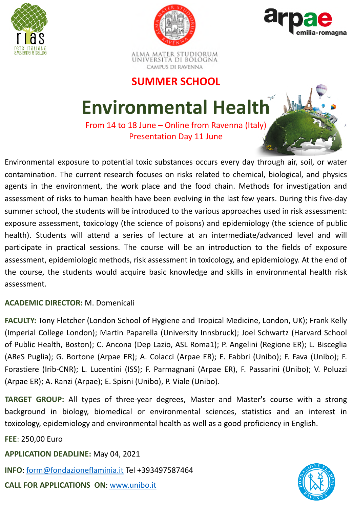





ALMA MATER STUDIORUM<br>Università di Bologna CAMPUS DI RAVENNA

### **SUMMER SCHOOL**

## **Environmental Health**

From 14 to 18 June – Online from Ravenna (Italy) Presentation Day 11 June

Environmental exposure to potential toxic substances occurs every day through air, soil, or water contamination. The current research focuses on risks related to chemical, biological, and physics agents in the environment, the work place and the food chain. Methods for investigation and assessment of risks to human health have been evolving in the last few years. During this five-day summer school, the students will be introduced to the various approaches used in risk assessment: exposure assessment, toxicology (the science of poisons) and epidemiology (the science of public health). Students will attend a series of lecture at an intermediate/advanced level and will participate in practical sessions. The course will be an introduction to the fields of exposure assessment, epidemiologic methods, risk assessment in toxicology, and epidemiology. At the end of the course, the students would acquire basic knowledge and skills in environmental health risk assessment.

### **ACADEMIC DIRECTOR:** M. Domenicali

**FACULTY:** Tony Fletcher (London School of Hygiene and Tropical Medicine, London, UK); Frank Kelly (Imperial College London); Martin Paparella (University Innsbruck); Joel Schwartz (Harvard School of Public Health, Boston); C. Ancona (Dep Lazio, ASL Roma1); P. Angelini (Regione ER); L. Bisceglia (AReS Puglia); G. Bortone (Arpae ER); A. Colacci (Arpae ER); E. Fabbri (Unibo); F. Fava (Unibo); F. Forastiere (Irib-CNR); L. Lucentini (ISS); F. Parmagnani (Arpae ER), F. Passarini (Unibo); V. Poluzzi (Arpae ER); A. Ranzi (Arpae); E. Spisni (Unibo), P. Viale (Unibo).

**TARGET GROUP:** All types of three-year degrees, Master and Master's course with a strong background in biology, biomedical or environmental sciences, statistics and an interest in toxicology, epidemiology and environmental health as well as a good proficiency in English.

**FEE**: 250,00 Euro

**APPLICATION DEADLINE:** May 04, 2021

**INFO**: [form@fondazioneflaminia.it](mailto:form@fondazioneflaminia.it) Tel +393497587464

**CALL FOR APPLICATIONS ON**: [www.unibo.it](https://www.unibo.it/en/teaching/summer-and-winter-schools/2021/environmental-health)